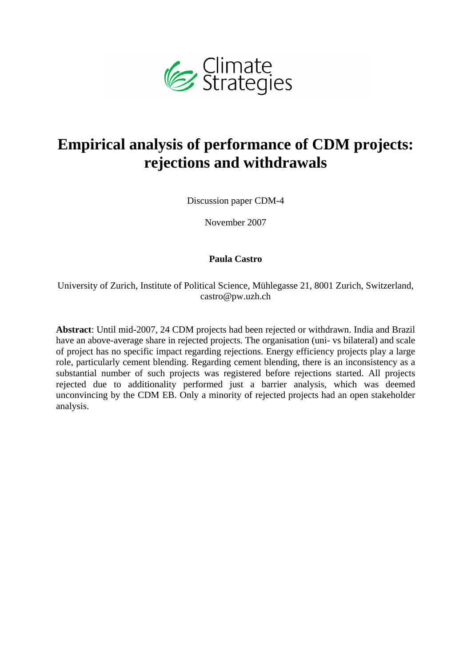

# **Empirical analysis of performance of CDM projects: rejections and withdrawals**

Discussion paper CDM-4

November 2007

#### **Paula Castro**

University of Zurich, Institute of Political Science, Mühlegasse 21, 8001 Zurich, Switzerland, castro@pw.uzh.ch

**Abstract**: Until mid-2007, 24 CDM projects had been rejected or withdrawn. India and Brazil have an above-average share in rejected projects. The organisation (uni- vs bilateral) and scale of project has no specific impact regarding rejections. Energy efficiency projects play a large role, particularly cement blending. Regarding cement blending, there is an inconsistency as a substantial number of such projects was registered before rejections started. All projects rejected due to additionality performed just a barrier analysis, which was deemed unconvincing by the CDM EB. Only a minority of rejected projects had an open stakeholder analysis.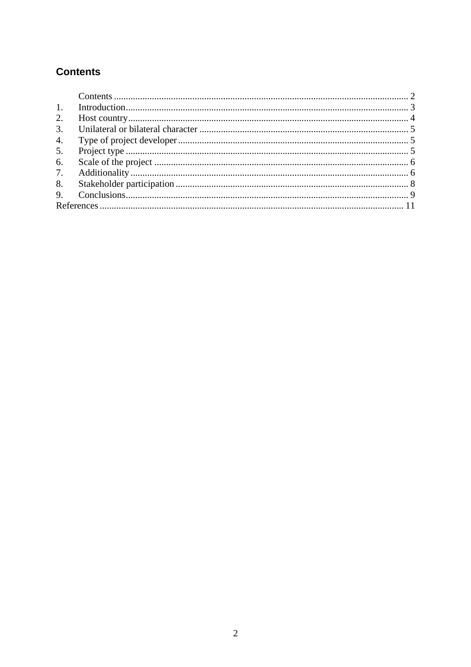#### **Contents**

| 2.<br>3.<br>4.<br>5.<br>6.<br>8. |  |  |  |
|----------------------------------|--|--|--|
|                                  |  |  |  |
|                                  |  |  |  |
|                                  |  |  |  |
|                                  |  |  |  |
|                                  |  |  |  |
|                                  |  |  |  |
|                                  |  |  |  |
|                                  |  |  |  |
|                                  |  |  |  |
|                                  |  |  |  |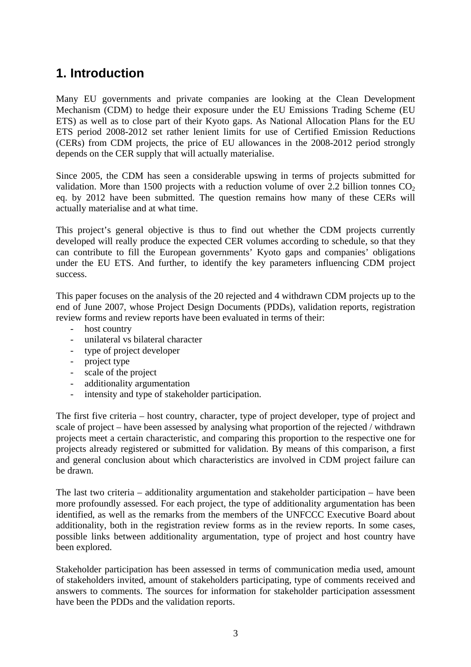#### **1. Introduction**

Many EU governments and private companies are looking at the Clean Development Mechanism (CDM) to hedge their exposure under the EU Emissions Trading Scheme (EU ETS) as well as to close part of their Kyoto gaps. As National Allocation Plans for the EU ETS period 2008-2012 set rather lenient limits for use of Certified Emission Reductions (CERs) from CDM projects, the price of EU allowances in the 2008-2012 period strongly depends on the CER supply that will actually materialise.

Since 2005, the CDM has seen a considerable upswing in terms of projects submitted for validation. More than 1500 projects with a reduction volume of over 2.2 billion tonnes  $CO<sub>2</sub>$ eq. by 2012 have been submitted. The question remains how many of these CERs will actually materialise and at what time.

This project's general objective is thus to find out whether the CDM projects currently developed will really produce the expected CER volumes according to schedule, so that they can contribute to fill the European governments' Kyoto gaps and companies' obligations under the EU ETS. And further, to identify the key parameters influencing CDM project success.

This paper focuses on the analysis of the 20 rejected and 4 withdrawn CDM projects up to the end of June 2007, whose Project Design Documents (PDDs), validation reports, registration review forms and review reports have been evaluated in terms of their:

- host country
- unilateral vs bilateral character
- type of project developer
- project type
- scale of the project
- additionality argumentation
- intensity and type of stakeholder participation.

The first five criteria – host country, character, type of project developer, type of project and scale of project – have been assessed by analysing what proportion of the rejected / withdrawn projects meet a certain characteristic, and comparing this proportion to the respective one for projects already registered or submitted for validation. By means of this comparison, a first and general conclusion about which characteristics are involved in CDM project failure can be drawn.

The last two criteria – additionality argumentation and stakeholder participation – have been more profoundly assessed. For each project, the type of additionality argumentation has been identified, as well as the remarks from the members of the UNFCCC Executive Board about additionality, both in the registration review forms as in the review reports. In some cases, possible links between additionality argumentation, type of project and host country have been explored.

Stakeholder participation has been assessed in terms of communication media used, amount of stakeholders invited, amount of stakeholders participating, type of comments received and answers to comments. The sources for information for stakeholder participation assessment have been the PDDs and the validation reports.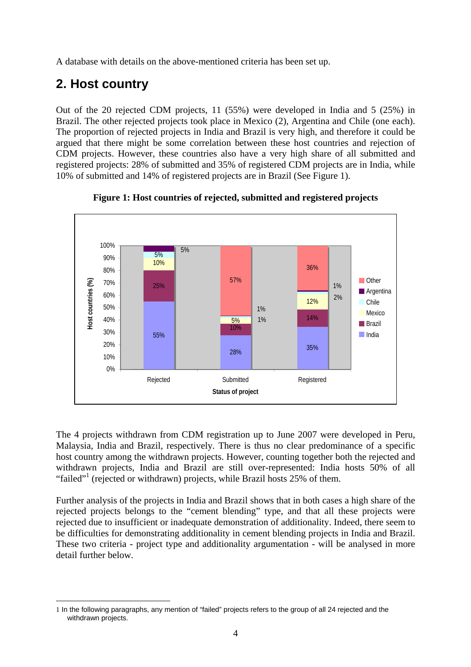A database with details on the above-mentioned criteria has been set up.

## **2. Host country**

Out of the 20 rejected CDM projects, 11 (55%) were developed in India and 5 (25%) in Brazil. The other rejected projects took place in Mexico (2), Argentina and Chile (one each). The proportion of rejected projects in India and Brazil is very high, and therefore it could be argued that there might be some correlation between these host countries and rejection of CDM projects. However, these countries also have a very high share of all submitted and registered projects: 28% of submitted and 35% of registered CDM projects are in India, while 10% of submitted and 14% of registered projects are in Brazil (See Figure 1).





The 4 projects withdrawn from CDM registration up to June 2007 were developed in Peru, Malaysia, India and Brazil, respectively. There is thus no clear predominance of a specific host country among the withdrawn projects. However, counting together both the rejected and withdrawn projects, India and Brazil are still over-represented: India hosts 50% of all "failed"<sup>1</sup> (rejected or withdrawn) projects, while Brazil hosts 25% of them.

Further analysis of the projects in India and Brazil shows that in both cases a high share of the rejected projects belongs to the "cement blending" type, and that all these projects were rejected due to insufficient or inadequate demonstration of additionality. Indeed, there seem to be difficulties for demonstrating additionality in cement blending projects in India and Brazil. These two criteria - project type and additionality argumentation - will be analysed in more detail further below.

<sup>&</sup>lt;u>.</u> 1 In the following paragraphs, any mention of "failed" projects refers to the group of all 24 rejected and the withdrawn projects.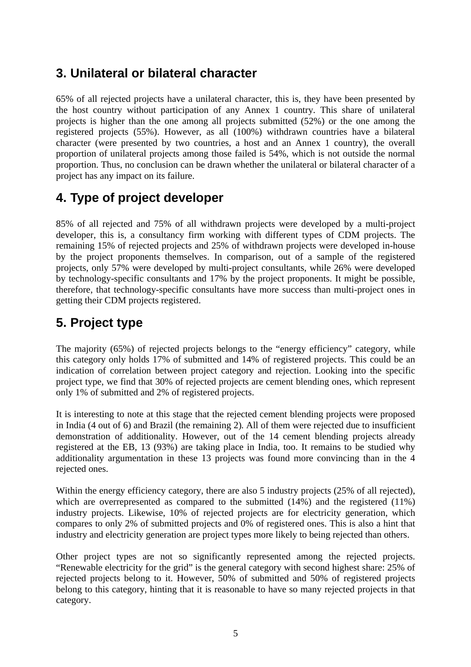#### **3. Unilateral or bilateral character**

65% of all rejected projects have a unilateral character, this is, they have been presented by the host country without participation of any Annex 1 country. This share of unilateral projects is higher than the one among all projects submitted (52%) or the one among the registered projects (55%). However, as all (100%) withdrawn countries have a bilateral character (were presented by two countries, a host and an Annex 1 country), the overall proportion of unilateral projects among those failed is 54%, which is not outside the normal proportion. Thus, no conclusion can be drawn whether the unilateral or bilateral character of a project has any impact on its failure.

#### **4. Type of project developer**

85% of all rejected and 75% of all withdrawn projects were developed by a multi-project developer, this is, a consultancy firm working with different types of CDM projects. The remaining 15% of rejected projects and 25% of withdrawn projects were developed in-house by the project proponents themselves. In comparison, out of a sample of the registered projects, only 57% were developed by multi-project consultants, while 26% were developed by technology-specific consultants and 17% by the project proponents. It might be possible, therefore, that technology-specific consultants have more success than multi-project ones in getting their CDM projects registered.

#### **5. Project type**

The majority (65%) of rejected projects belongs to the "energy efficiency" category, while this category only holds 17% of submitted and 14% of registered projects. This could be an indication of correlation between project category and rejection. Looking into the specific project type, we find that 30% of rejected projects are cement blending ones, which represent only 1% of submitted and 2% of registered projects.

It is interesting to note at this stage that the rejected cement blending projects were proposed in India (4 out of 6) and Brazil (the remaining 2). All of them were rejected due to insufficient demonstration of additionality. However, out of the 14 cement blending projects already registered at the EB, 13 (93%) are taking place in India, too. It remains to be studied why additionality argumentation in these 13 projects was found more convincing than in the 4 rejected ones.

Within the energy efficiency category, there are also 5 industry projects (25% of all rejected), which are overrepresented as compared to the submitted (14%) and the registered (11%) industry projects. Likewise, 10% of rejected projects are for electricity generation, which compares to only 2% of submitted projects and 0% of registered ones. This is also a hint that industry and electricity generation are project types more likely to being rejected than others.

Other project types are not so significantly represented among the rejected projects. "Renewable electricity for the grid" is the general category with second highest share: 25% of rejected projects belong to it. However, 50% of submitted and 50% of registered projects belong to this category, hinting that it is reasonable to have so many rejected projects in that category.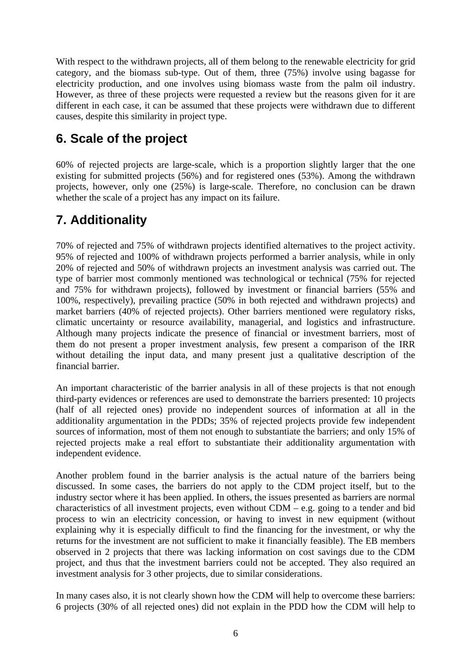With respect to the withdrawn projects, all of them belong to the renewable electricity for grid category, and the biomass sub-type. Out of them, three (75%) involve using bagasse for electricity production, and one involves using biomass waste from the palm oil industry. However, as three of these projects were requested a review but the reasons given for it are different in each case, it can be assumed that these projects were withdrawn due to different causes, despite this similarity in project type.

## **6. Scale of the project**

60% of rejected projects are large-scale, which is a proportion slightly larger that the one existing for submitted projects (56%) and for registered ones (53%). Among the withdrawn projects, however, only one (25%) is large-scale. Therefore, no conclusion can be drawn whether the scale of a project has any impact on its failure.

#### **7. Additionality**

70% of rejected and 75% of withdrawn projects identified alternatives to the project activity. 95% of rejected and 100% of withdrawn projects performed a barrier analysis, while in only 20% of rejected and 50% of withdrawn projects an investment analysis was carried out. The type of barrier most commonly mentioned was technological or technical (75% for rejected and 75% for withdrawn projects), followed by investment or financial barriers (55% and 100%, respectively), prevailing practice (50% in both rejected and withdrawn projects) and market barriers (40% of rejected projects). Other barriers mentioned were regulatory risks, climatic uncertainty or resource availability, managerial, and logistics and infrastructure. Although many projects indicate the presence of financial or investment barriers, most of them do not present a proper investment analysis, few present a comparison of the IRR without detailing the input data, and many present just a qualitative description of the financial barrier.

An important characteristic of the barrier analysis in all of these projects is that not enough third-party evidences or references are used to demonstrate the barriers presented: 10 projects (half of all rejected ones) provide no independent sources of information at all in the additionality argumentation in the PDDs; 35% of rejected projects provide few independent sources of information, most of them not enough to substantiate the barriers; and only 15% of rejected projects make a real effort to substantiate their additionality argumentation with independent evidence.

Another problem found in the barrier analysis is the actual nature of the barriers being discussed. In some cases, the barriers do not apply to the CDM project itself, but to the industry sector where it has been applied. In others, the issues presented as barriers are normal characteristics of all investment projects, even without  $CDM - e.g.$  going to a tender and bid process to win an electricity concession, or having to invest in new equipment (without explaining why it is especially difficult to find the financing for the investment, or why the returns for the investment are not sufficient to make it financially feasible). The EB members observed in 2 projects that there was lacking information on cost savings due to the CDM project, and thus that the investment barriers could not be accepted. They also required an investment analysis for 3 other projects, due to similar considerations.

In many cases also, it is not clearly shown how the CDM will help to overcome these barriers: 6 projects (30% of all rejected ones) did not explain in the PDD how the CDM will help to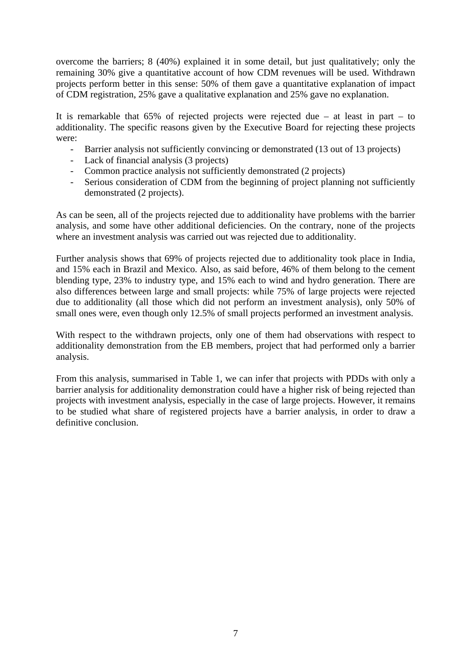overcome the barriers; 8 (40%) explained it in some detail, but just qualitatively; only the remaining 30% give a quantitative account of how CDM revenues will be used. Withdrawn projects perform better in this sense: 50% of them gave a quantitative explanation of impact of CDM registration, 25% gave a qualitative explanation and 25% gave no explanation.

It is remarkable that 65% of rejected projects were rejected due – at least in part – to additionality. The specific reasons given by the Executive Board for rejecting these projects were:

- Barrier analysis not sufficiently convincing or demonstrated (13 out of 13 projects)
- Lack of financial analysis (3 projects)
- Common practice analysis not sufficiently demonstrated (2 projects)
- Serious consideration of CDM from the beginning of project planning not sufficiently demonstrated (2 projects).

As can be seen, all of the projects rejected due to additionality have problems with the barrier analysis, and some have other additional deficiencies. On the contrary, none of the projects where an investment analysis was carried out was rejected due to additionality.

Further analysis shows that 69% of projects rejected due to additionality took place in India, and 15% each in Brazil and Mexico. Also, as said before, 46% of them belong to the cement blending type, 23% to industry type, and 15% each to wind and hydro generation. There are also differences between large and small projects: while 75% of large projects were rejected due to additionality (all those which did not perform an investment analysis), only 50% of small ones were, even though only 12.5% of small projects performed an investment analysis.

With respect to the withdrawn projects, only one of them had observations with respect to additionality demonstration from the EB members, project that had performed only a barrier analysis.

From this analysis, summarised in Table 1, we can infer that projects with PDDs with only a barrier analysis for additionality demonstration could have a higher risk of being rejected than projects with investment analysis, especially in the case of large projects. However, it remains to be studied what share of registered projects have a barrier analysis, in order to draw a definitive conclusion.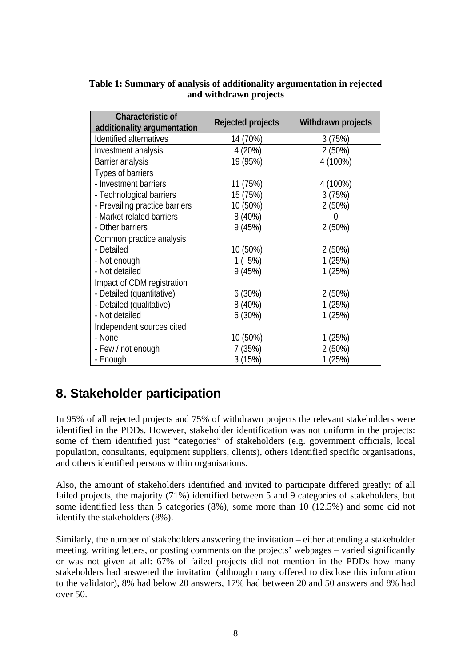| <b>Characteristic of</b><br>additionality argumentation | Rejected projects | Withdrawn projects |
|---------------------------------------------------------|-------------------|--------------------|
| Identified alternatives                                 | 14 (70%)          | 3(75%)             |
| Investment analysis                                     | 4 (20%)           | 2(50%)             |
| Barrier analysis                                        | 19 (95%)          | 4 (100%)           |
| Types of barriers                                       |                   |                    |
| - Investment barriers                                   | 11 (75%)          | 4 (100%)           |
| - Technological barriers                                | 15 (75%)          | 3(75%)             |
| - Prevailing practice barriers                          | 10 (50%)          | 2(50%)             |
| - Market related barriers                               | 8 (40%)           | $\left( \right)$   |
| - Other barriers                                        | 9(45%)            | 2(50%)             |
| Common practice analysis                                |                   |                    |
| - Detailed                                              | 10 (50%)          | 2(50%)             |
| - Not enough                                            | 1(5%)             | 1(25%)             |
| - Not detailed                                          | 9(45%)            | 1 (25%)            |
| Impact of CDM registration                              |                   |                    |
| - Detailed (quantitative)                               | 6(30%)            | 2(50%)             |
| - Detailed (qualitative)                                | $8(40\%)$         | 1(25%)             |
| - Not detailed                                          | 6(30%)            | 1 (25%)            |
| Independent sources cited                               |                   |                    |
| - None                                                  | 10 (50%)          | 1(25%)             |
| - Few / not enough                                      | 7(35%)            | 2(50%)             |
| - Enough                                                | 3(15%)            | 1 (25%)            |

#### **Table 1: Summary of analysis of additionality argumentation in rejected and withdrawn projects**

## **8. Stakeholder participation**

In 95% of all rejected projects and 75% of withdrawn projects the relevant stakeholders were identified in the PDDs. However, stakeholder identification was not uniform in the projects: some of them identified just "categories" of stakeholders (e.g. government officials, local population, consultants, equipment suppliers, clients), others identified specific organisations, and others identified persons within organisations.

Also, the amount of stakeholders identified and invited to participate differed greatly: of all failed projects, the majority (71%) identified between 5 and 9 categories of stakeholders, but some identified less than 5 categories (8%), some more than 10 (12.5%) and some did not identify the stakeholders (8%).

Similarly, the number of stakeholders answering the invitation – either attending a stakeholder meeting, writing letters, or posting comments on the projects' webpages – varied significantly or was not given at all: 67% of failed projects did not mention in the PDDs how many stakeholders had answered the invitation (although many offered to disclose this information to the validator), 8% had below 20 answers, 17% had between 20 and 50 answers and 8% had over 50.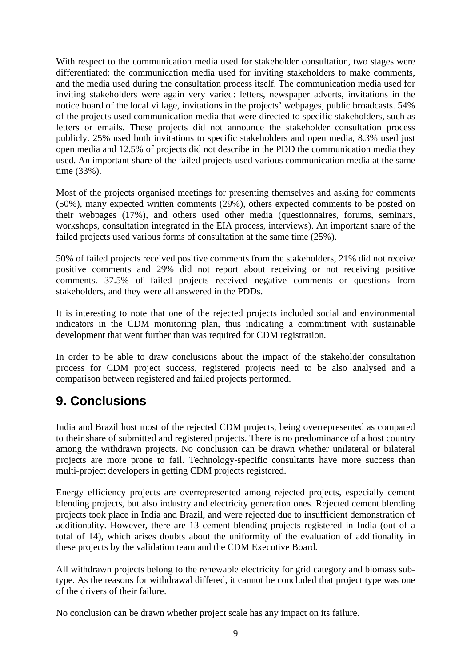With respect to the communication media used for stakeholder consultation, two stages were differentiated: the communication media used for inviting stakeholders to make comments, and the media used during the consultation process itself. The communication media used for inviting stakeholders were again very varied: letters, newspaper adverts, invitations in the notice board of the local village, invitations in the projects' webpages, public broadcasts. 54% of the projects used communication media that were directed to specific stakeholders, such as letters or emails. These projects did not announce the stakeholder consultation process publicly. 25% used both invitations to specific stakeholders and open media, 8.3% used just open media and 12.5% of projects did not describe in the PDD the communication media they used. An important share of the failed projects used various communication media at the same time (33%).

Most of the projects organised meetings for presenting themselves and asking for comments (50%), many expected written comments (29%), others expected comments to be posted on their webpages (17%), and others used other media (questionnaires, forums, seminars, workshops, consultation integrated in the EIA process, interviews). An important share of the failed projects used various forms of consultation at the same time (25%).

50% of failed projects received positive comments from the stakeholders, 21% did not receive positive comments and 29% did not report about receiving or not receiving positive comments. 37.5% of failed projects received negative comments or questions from stakeholders, and they were all answered in the PDDs.

It is interesting to note that one of the rejected projects included social and environmental indicators in the CDM monitoring plan, thus indicating a commitment with sustainable development that went further than was required for CDM registration.

In order to be able to draw conclusions about the impact of the stakeholder consultation process for CDM project success, registered projects need to be also analysed and a comparison between registered and failed projects performed.

#### **9. Conclusions**

India and Brazil host most of the rejected CDM projects, being overrepresented as compared to their share of submitted and registered projects. There is no predominance of a host country among the withdrawn projects. No conclusion can be drawn whether unilateral or bilateral projects are more prone to fail. Technology-specific consultants have more success than multi-project developers in getting CDM projects registered.

Energy efficiency projects are overrepresented among rejected projects, especially cement blending projects, but also industry and electricity generation ones. Rejected cement blending projects took place in India and Brazil, and were rejected due to insufficient demonstration of additionality. However, there are 13 cement blending projects registered in India (out of a total of 14), which arises doubts about the uniformity of the evaluation of additionality in these projects by the validation team and the CDM Executive Board.

All withdrawn projects belong to the renewable electricity for grid category and biomass subtype. As the reasons for withdrawal differed, it cannot be concluded that project type was one of the drivers of their failure.

No conclusion can be drawn whether project scale has any impact on its failure.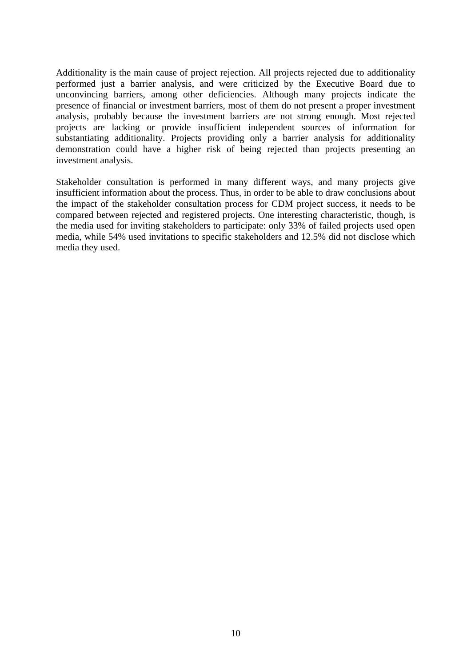Additionality is the main cause of project rejection. All projects rejected due to additionality performed just a barrier analysis, and were criticized by the Executive Board due to unconvincing barriers, among other deficiencies. Although many projects indicate the presence of financial or investment barriers, most of them do not present a proper investment analysis, probably because the investment barriers are not strong enough. Most rejected projects are lacking or provide insufficient independent sources of information for substantiating additionality. Projects providing only a barrier analysis for additionality demonstration could have a higher risk of being rejected than projects presenting an investment analysis.

Stakeholder consultation is performed in many different ways, and many projects give insufficient information about the process. Thus, in order to be able to draw conclusions about the impact of the stakeholder consultation process for CDM project success, it needs to be compared between rejected and registered projects. One interesting characteristic, though, is the media used for inviting stakeholders to participate: only 33% of failed projects used open media, while 54% used invitations to specific stakeholders and 12.5% did not disclose which media they used.